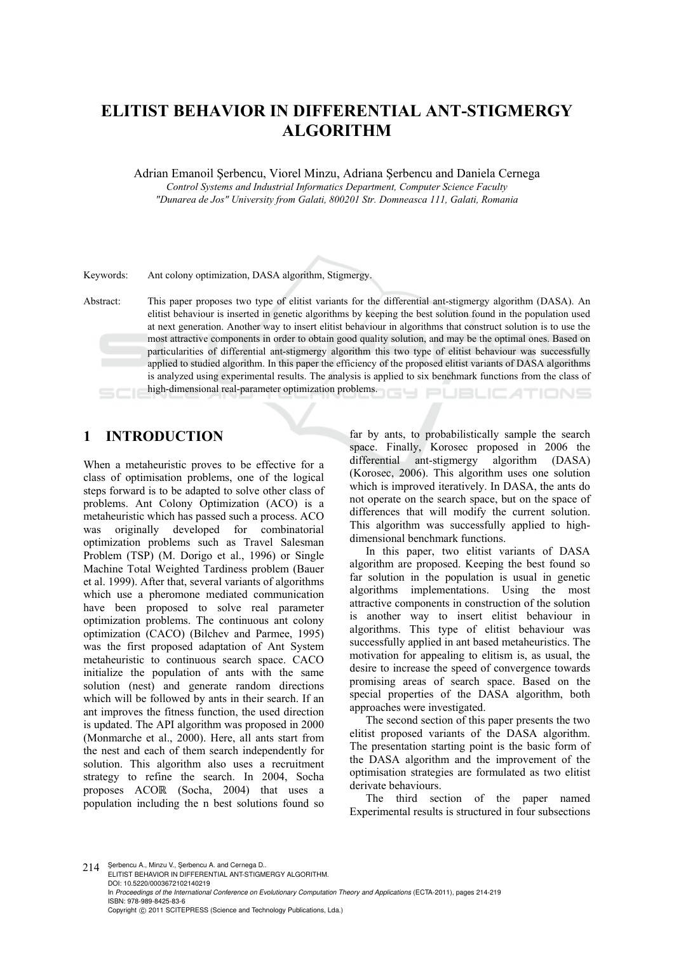# **ELITIST BEHAVIOR IN DIFFERENTIAL ANT-STIGMERGY ALGORITHM**

Adrian Emanoil Şerbencu, Viorel Minzu, Adriana Şerbencu and Daniela Cernega

*Control Systems and Industrial Informatics Department, Computer Science Faculty "Dunarea de Jos" University from Galati, 800201 Str. Domneasca 111, Galati, Romania* 

Keywords: Ant colony optimization, DASA algorithm, Stigmergy.

Abstract: This paper proposes two type of elitist variants for the differential ant-stigmergy algorithm (DASA). An elitist behaviour is inserted in genetic algorithms by keeping the best solution found in the population used at next generation. Another way to insert elitist behaviour in algorithms that construct solution is to use the most attractive components in order to obtain good quality solution, and may be the optimal ones. Based on particularities of differential ant-stigmergy algorithm this two type of elitist behaviour was successfully applied to studied algorithm. In this paper the efficiency of the proposed elitist variants of DASA algorithms is analyzed using experimental results. The analysis is applied to six benchmark functions from the class of high-dimensional real-parameter optimization problems.

# **1 INTRODUCTION**

When a metaheuristic proves to be effective for a class of optimisation problems, one of the logical steps forward is to be adapted to solve other class of problems. Ant Colony Optimization (ACO) is a metaheuristic which has passed such a process. ACO was originally developed for combinatorial optimization problems such as Travel Salesman Problem (TSP) (M. Dorigo et al., 1996) or Single Machine Total Weighted Tardiness problem (Bauer et al. 1999). After that, several variants of algorithms which use a pheromone mediated communication have been proposed to solve real parameter optimization problems. The continuous ant colony optimization (CACO) (Bilchev and Parmee, 1995) was the first proposed adaptation of Ant System metaheuristic to continuous search space. CACO initialize the population of ants with the same solution (nest) and generate random directions which will be followed by ants in their search. If an ant improves the fitness function, the used direction is updated. The API algorithm was proposed in 2000 (Monmarche et al., 2000). Here, all ants start from the nest and each of them search independently for solution. This algorithm also uses a recruitment strategy to refine the search. In 2004, Socha proposes ACOℝ (Socha, 2004) that uses a population including the n best solutions found so

far by ants, to probabilistically sample the search space. Finally, Korosec proposed in 2006 the differential ant-stigmergy algorithm (DASA) (Korosec, 2006). This algorithm uses one solution which is improved iteratively. In DASA, the ants do not operate on the search space, but on the space of differences that will modify the current solution. This algorithm was successfully applied to highdimensional benchmark functions.

In this paper, two elitist variants of DASA algorithm are proposed. Keeping the best found so far solution in the population is usual in genetic algorithms implementations. Using the most attractive components in construction of the solution is another way to insert elitist behaviour in algorithms. This type of elitist behaviour was successfully applied in ant based metaheuristics. The motivation for appealing to elitism is, as usual, the desire to increase the speed of convergence towards promising areas of search space. Based on the special properties of the DASA algorithm, both approaches were investigated.

The second section of this paper presents the two elitist proposed variants of the DASA algorithm. The presentation starting point is the basic form of the DASA algorithm and the improvement of the optimisation strategies are formulated as two elitist derivate behaviours.

The third section of the paper named Experimental results is structured in four subsections

214 ¸Serbencu A., Minzu V., ¸Serbencu A. and Cernega D.. ELITIST BEHAVIOR IN DIFFERENTIAL ANT-STIGMERGY ALGORITHM. DOI: 10.5220/0003672102140219 In *Proceedings of the International Conference on Evolutionary Computation Theory and Applications* (ECTA-2011), pages 214-219 ISBN: 978-989-8425-83-6 Copyright © 2011 SCITEPRESS (Science and Technology Publications, Lda.)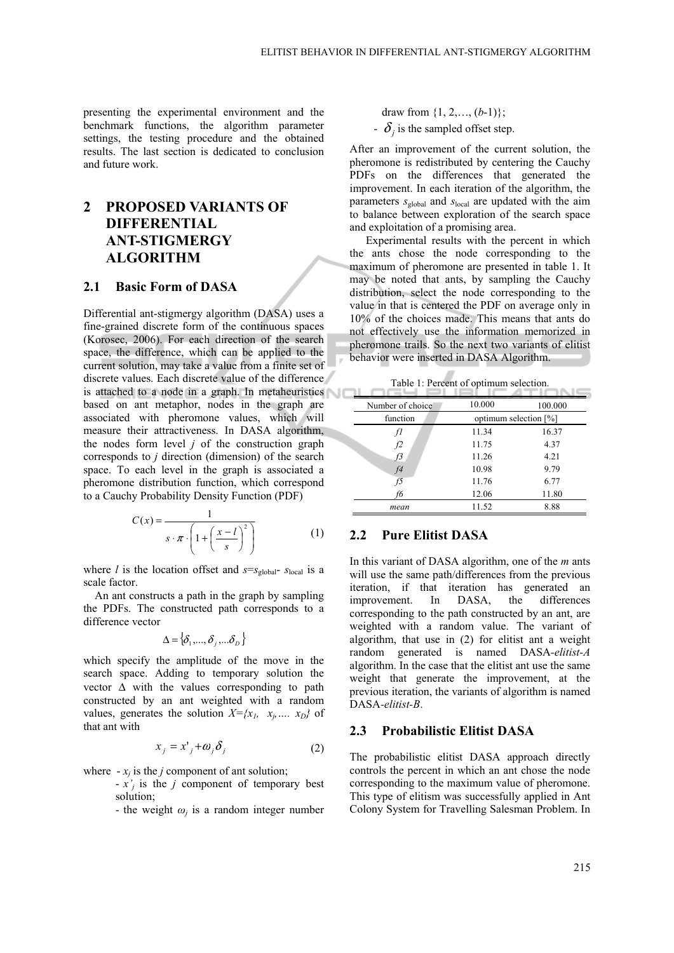presenting the experimental environment and the benchmark functions, the algorithm parameter settings, the testing procedure and the obtained results. The last section is dedicated to conclusion and future work.

# **2 PROPOSED VARIANTS OF DIFFERENTIAL ANT-STIGMERGY ALGORITHM**

#### **2.1 Basic Form of DASA**

Differential ant-stigmergy algorithm (DASA) uses a fine-grained discrete form of the continuous spaces (Korosec, 2006). For each direction of the search space, the difference, which can be applied to the current solution, may take a value from a finite set of discrete values. Each discrete value of the difference is attached to a node in a graph. In metaheuristics based on ant metaphor, nodes in the graph are associated with pheromone values, which will measure their attractiveness. In DASA algorithm, the nodes form level *j* of the construction graph corresponds to *j* direction (dimension) of the search space. To each level in the graph is associated a pheromone distribution function, which correspond to a Cauchy Probability Density Function (PDF)

$$
C(x) = \frac{1}{s \cdot \pi \cdot \left(1 + \left(\frac{x - l}{s}\right)^2\right)}
$$
(1)

where *l* is the location offset and  $s=s_{\text{global}}$ -  $s_{\text{local}}$  is a scale factor.

An ant constructs a path in the graph by sampling the PDFs. The constructed path corresponds to a difference vector

$$
\Delta = \left\{ \delta_{1}, \ldots, \delta_{j}, \ldots, \delta_{D} \right\}
$$

which specify the amplitude of the move in the search space. Adding to temporary solution the vector  $\Delta$  with the values corresponding to path constructed by an ant weighted with a random values, generates the solution  $X = \{x_1, x_2, \ldots, x_D\}$  of that ant with

$$
x_j = x_j + \omega_j \delta_j \tag{2}
$$

where  $-x_i$  is the *j* component of ant solution;

- *x'j* is the *j* component of temporary best solution;
- the weight  $\omega_i$  is a random integer number

draw from  $\{1, 2, \ldots, (b-1)\};$  $\delta_i$  is the sampled offset step.

After an improvement of the current solution, the pheromone is redistributed by centering the Cauchy PDFs on the differences that generated the improvement. In each iteration of the algorithm, the parameters *s*<sub>global</sub> and *s*<sub>local</sub> are updated with the aim to balance between exploration of the search space and exploitation of a promising area.

Experimental results with the percent in which the ants chose the node corresponding to the maximum of pheromone are presented in table 1. It may be noted that ants, by sampling the Cauchy distribution, select the node corresponding to the value in that is centered the PDF on average only in 10% of the choices made. This means that ants do not effectively use the information memorized in pheromone trails. So the next two variants of elitist behavior were inserted in DASA Algorithm.

Table 1: Percent of optimum selection.

|                  | radio 1. I creent or optimum sciection. |         |  |  |  |
|------------------|-----------------------------------------|---------|--|--|--|
| Number of choice | 10.000                                  | 100.000 |  |  |  |
| function         | optimum selection [%]                   |         |  |  |  |
| fI               | 11.34                                   | 16.37   |  |  |  |
| f2               | 11.75                                   | 4.37    |  |  |  |
| f <sup>3</sup>   | 11.26                                   | 4.21    |  |  |  |
| f4               | 10.98                                   | 9.79    |  |  |  |
| f5               | 11.76                                   | 6.77    |  |  |  |
| f6               | 12.06                                   | 11.80   |  |  |  |
| mean             | 11.52                                   | 8.88    |  |  |  |

#### **2.2 Pure Elitist DASA**

In this variant of DASA algorithm, one of the *m* ants will use the same path/differences from the previous iteration, if that iteration has generated an improvement. In DASA, the differences corresponding to the path constructed by an ant, are weighted with a random value. The variant of algorithm, that use in (2) for elitist ant a weight random generated is named DASA*-elitist-A* algorithm. In the case that the elitist ant use the same weight that generate the improvement, at the previous iteration, the variants of algorithm is named DASA*-elitist-B*.

#### **2.3 Probabilistic Elitist DASA**

The probabilistic elitist DASA approach directly controls the percent in which an ant chose the node corresponding to the maximum value of pheromone. This type of elitism was successfully applied in Ant Colony System for Travelling Salesman Problem. In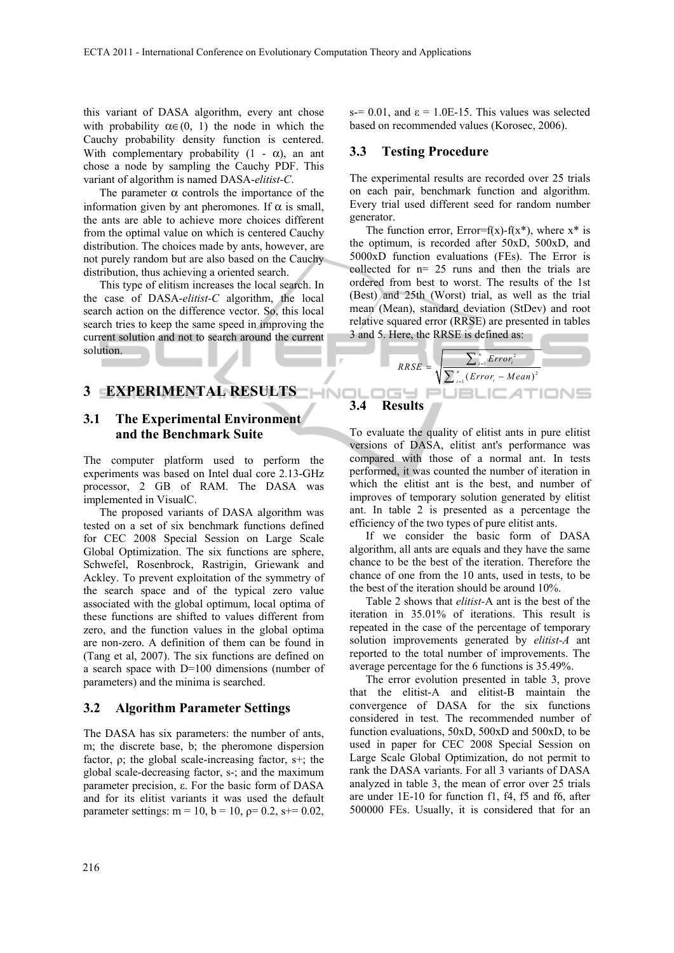this variant of DASA algorithm, every ant chose with probability  $\alpha \in (0, 1)$  the node in which the Cauchy probability density function is centered. With complementary probability  $(1 - \alpha)$ , an ant chose a node by sampling the Cauchy PDF. This variant of algorithm is named DASA-*elitist-C*.

The parameter  $\alpha$  controls the importance of the information given by ant pheromones. If  $\alpha$  is small, the ants are able to achieve more choices different from the optimal value on which is centered Cauchy distribution. The choices made by ants, however, are not purely random but are also based on the Cauchy distribution, thus achieving a oriented search.

This type of elitism increases the local search. In the case of DASA-*elitist-C* algorithm, the local search action on the difference vector. So, this local search tries to keep the same speed in improving the current solution and not to search around the current solution.

## **3 EXPERIMENTAL RESULTS**

### **3.1 The Experimental Environment and the Benchmark Suite**

The computer platform used to perform the experiments was based on Intel dual core 2.13-GHz processor, 2 GB of RAM. The DASA was implemented in VisualC.

The proposed variants of DASA algorithm was tested on a set of six benchmark functions defined for CEC 2008 Special Session on Large Scale Global Optimization. The six functions are sphere, Schwefel, Rosenbrock, Rastrigin, Griewank and Ackley. To prevent exploitation of the symmetry of the search space and of the typical zero value associated with the global optimum, local optima of these functions are shifted to values different from zero, and the function values in the global optima are non-zero. A definition of them can be found in (Tang et al, 2007). The six functions are defined on a search space with D=100 dimensions (number of parameters) and the minima is searched.

#### **3.2 Algorithm Parameter Settings**

The DASA has six parameters: the number of ants, m; the discrete base, b; the pheromone dispersion factor,  $\rho$ ; the global scale-increasing factor, s+; the global scale-decreasing factor, s-; and the maximum parameter precision, ε. For the basic form of DASA and for its elitist variants it was used the default parameter settings: m = 10, b = 10,  $p=0.2$ , s+= 0.02, s-= 0.01, and  $\varepsilon$  = 1.0E-15. This values was selected based on recommended values (Korosec, 2006).

#### **3.3 Testing Procedure**

The experimental results are recorded over 25 trials on each pair, benchmark function and algorithm. Every trial used different seed for random number generator.

The function error,  $Error=f(x) - f(x^*)$ , where  $x^*$  is the optimum, is recorded after 50xD, 500xD, and 5000xD function evaluations (FEs). The Error is collected for n= 25 runs and then the trials are ordered from best to worst. The results of the 1st (Best) and 25th (Worst) trial, as well as the trial mean (Mean), standard deviation (StDev) and root relative squared error (RRSE) are presented in tables 3 and 5. Here, the RRSE is defined as:



To evaluate the quality of elitist ants in pure elitist versions of DASA, elitist ant's performance was compared with those of a normal ant. In tests performed, it was counted the number of iteration in which the elitist ant is the best, and number of improves of temporary solution generated by elitist ant. In table 2 is presented as a percentage the efficiency of the two types of pure elitist ants.

If we consider the basic form of DASA algorithm, all ants are equals and they have the same chance to be the best of the iteration. Therefore the chance of one from the 10 ants, used in tests, to be the best of the iteration should be around 10%.

Table 2 shows that *elitist-*A ant is the best of the iteration in 35.01% of iterations. This result is repeated in the case of the percentage of temporary solution improvements generated by *elitist-A* ant reported to the total number of improvements. The average percentage for the 6 functions is 35.49%.

The error evolution presented in table 3, prove that the elitist-A and elitist-B maintain the convergence of DASA for the six functions considered in test. The recommended number of function evaluations, 50xD, 500xD and 500xD, to be used in paper for CEC 2008 Special Session on Large Scale Global Optimization, do not permit to rank the DASA variants. For all 3 variants of DASA analyzed in table 3, the mean of error over 25 trials are under 1E-10 for function f1, f4, f5 and f6, after 500000 FEs. Usually, it is considered that for an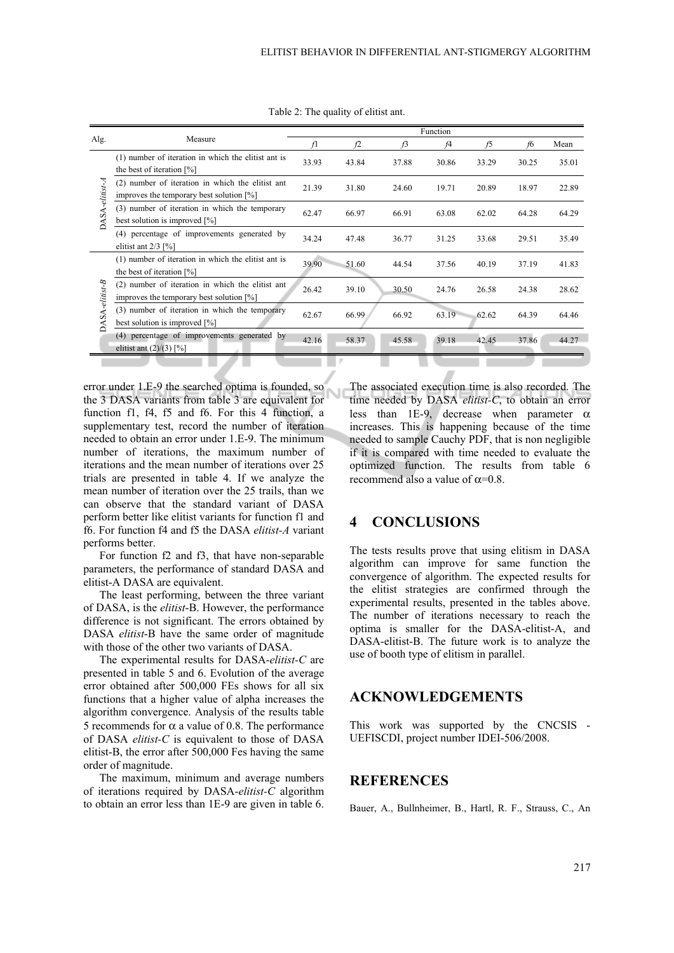|                |                                                                                              | Function |       |       |       |       |       |       |  |
|----------------|----------------------------------------------------------------------------------------------|----------|-------|-------|-------|-------|-------|-------|--|
| Alg.           | Measure                                                                                      | fl       | f2    | f3    | f4    | f5    | f6    | Mean  |  |
| DASA-elitist-A | (1) number of iteration in which the elitist ant is<br>the best of iteration $[\%]$          | 33.93    | 43.84 | 37.88 | 30.86 | 33.29 | 30.25 | 35.01 |  |
|                | (2) number of iteration in which the elitist ant<br>improves the temporary best solution [%] | 21.39    | 31.80 | 24.60 | 19.71 | 20.89 | 18.97 | 22.89 |  |
|                | (3) number of iteration in which the temporary<br>best solution is improved [%]              | 62.47    | 66.97 | 66.91 | 63.08 | 62.02 | 64.28 | 64.29 |  |
|                | (4) percentage of improvements generated by<br>elitist ant $2/3$ [%]                         | 34.24    | 47.48 | 36.77 | 31.25 | 33.68 | 29.51 | 35.49 |  |
| DASA-elitist-B | (1) number of iteration in which the elitist ant is<br>the best of iteration $[%]$           | 39.90    | 51.60 | 44.54 | 37.56 | 40.19 | 37.19 | 41.83 |  |
|                | (2) number of iteration in which the elitist ant<br>improves the temporary best solution [%] | 26.42    | 39.10 | 30.50 | 24.76 | 26.58 | 24.38 | 28.62 |  |
|                | (3) number of iteration in which the temporary<br>best solution is improved $[\%]$           | 62.67    | 66.99 | 66.92 | 63.19 | 62.62 | 64.39 | 64.46 |  |
|                | (4) percentage of improvements generated by<br>elitist ant $(2)/(3)$ [%]                     | 42.16    | 58.37 | 45.58 | 39.18 | 42.45 | 37.86 | 44.27 |  |

Table 2: The quality of elitist ant.

error under 1.E-9 the searched optima is founded, so the 3 DASA variants from table 3 are equivalent for function f1, f4, f5 and f6. For this 4 function, a supplementary test, record the number of iteration needed to obtain an error under 1.E-9. The minimum number of iterations, the maximum number of iterations and the mean number of iterations over 25 trials are presented in table 4. If we analyze the mean number of iteration over the 25 trails, than we can observe that the standard variant of DASA perform better like elitist variants for function f1 and f6. For function f4 and f5 the DASA *elitist-A* variant performs better.

For function f2 and f3, that have non-separable parameters, the performance of standard DASA and elitist-A DASA are equivalent.

The least performing, between the three variant of DASA, is the *elitist*-B. However, the performance difference is not significant. The errors obtained by DASA *elitist*-B have the same order of magnitude with those of the other two variants of DASA.

The experimental results for DASA-*elitist-C* are presented in table 5 and 6. Evolution of the average error obtained after 500,000 FEs shows for all six functions that a higher value of alpha increases the algorithm convergence. Analysis of the results table 5 recommends for  $\alpha$  a value of 0.8. The performance of DASA *elitist-C* is equivalent to those of DASA elitist-B, the error after 500,000 Fes having the same order of magnitude.

The maximum, minimum and average numbers of iterations required by DASA-*elitist-C* algorithm to obtain an error less than 1E-9 are given in table 6.

The associated execution time is also recorded. The time needed by DASA *elitist-C*, to obtain an error less than 1E-9, decrease when parameter  $\alpha$ increases. This is happening because of the time needed to sample Cauchy PDF, that is non negligible if it is compared with time needed to evaluate the optimized function. The results from table 6 recommend also a value of  $\alpha$ =0.8.

### **4 CONCLUSIONS**

The tests results prove that using elitism in DASA algorithm can improve for same function the convergence of algorithm. The expected results for the elitist strategies are confirmed through the experimental results, presented in the tables above. The number of iterations necessary to reach the optima is smaller for the DASA-elitist-A, and DASA-elitist-B. The future work is to analyze the use of booth type of elitism in parallel.

### **ACKNOWLEDGEMENTS**

This work was supported by the CNCSIS - UEFISCDI, project number IDEI-506/2008.

### **REFERENCES**

Bauer, A., Bullnheimer, B., Hartl, R. F., Strauss, C., An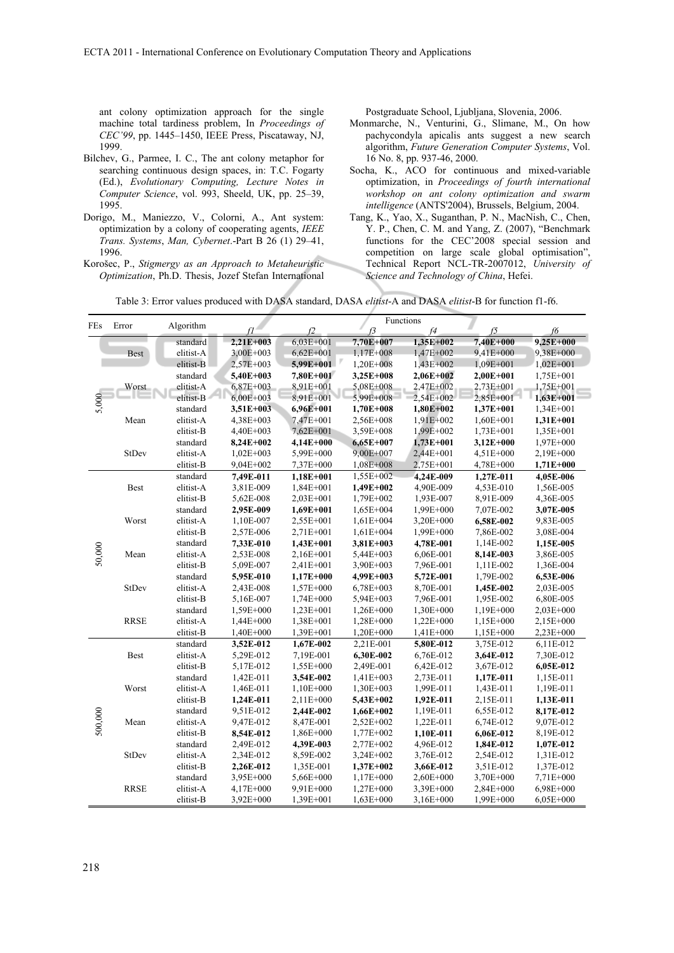ant colony optimization approach for the single machine total tardiness problem, In *Proceedings of CEC'99*, pp. 1445–1450, IEEE Press, Piscataway, NJ, 1999.

- Bilchev, G., Parmee, I. C., The ant colony metaphor for searching continuous design spaces, in: T.C. Fogarty (Ed.), *Evolutionary Computing, Lecture Notes in Computer Science*, vol. 993, Sheeld, UK, pp. 25–39, 1995.
- Dorigo, M., Maniezzo, V., Colorni, A., Ant system: optimization by a colony of cooperating agents, *IEEE Trans. Systems*, *Man, Cybernet*.-Part B 26 (1) 29–41, 1996.
- Korošec, P., *Stigmergy as an Approach to Metaheuristic Optimization*, Ph.D. Thesis, Jozef Stefan International

Postgraduate School, Ljubljana, Slovenia, 2006.

- Monmarche, N., Venturini, G., Slimane, M., On how pachycondyla apicalis ants suggest a new search algorithm, *Future Generation Computer Systems*, Vol. 16 No. 8, pp. 937-46, 2000.
- Socha, K., ACO for continuous and mixed-variable optimization, in *Proceedings of fourth international workshop on ant colony optimization and swarm intelligence* (ANTS'2004), Brussels, Belgium, 2004.
- Tang, K., Yao, X., Suganthan, P. N., MacNish, C., Chen, Y. P., Chen, C. M. and Yang, Z. (2007), "Benchmark functions for the CEC'2008 special session and competition on large scale global optimisation", Technical Report NCL-TR-2007012, *University of Science and Technology of China*, Hefei.

Table 3: Error values produced with DASA standard, DASA *elitist*-A and DASA *elitist*-B for function f1-f6.

| FEs     | Error        | Algorithm |             |             |             | Functions   |             |             |
|---------|--------------|-----------|-------------|-------------|-------------|-------------|-------------|-------------|
|         |              |           |             | f2          | f3          | f4          | f5          | f6          |
|         |              | standard  | 2,21E+003   | $6,03E+001$ | 7,70E+007   | 1,35E+002   | 7.40E+000   | 9,25E+000   |
|         | Best         | elitist-A | 3,00E+003   | $6,62E+001$ | 1,17E+008   | 1,47E+002   | 9,41E+000   | 9,38E+000   |
|         |              | elitist-B | 2,57E+003   | 5,99E+001   | 1,20E+008   | 1,43E+002   | 1,09E+001   | $1,02E+001$ |
| 5,000   |              | standard  | 5,40E+003   | 7.80E+001   | 3,25E+008   | $2,06E+002$ | $2,00E+001$ | 1,75E+001   |
|         | Worst        | elitist-A | 6,87E+003   | 8,91E+001   | 5,08E+008   | 2,47E+002   | 2,73E+001   | 1,75E+001   |
|         |              | elitist-B | $6,00E+003$ | 8,91E+001   | 5,99E+008   | 2,54E+002   | 2,85E+001   | $1,63E+001$ |
|         |              | standard  | 3,51E+003   | 6,96E+001   | 1,70E+008   | $1,80E+002$ | 1,37E+001   | $1,34E+001$ |
|         | Mean         | elitist-A | 4,38E+003   | 7,47E+001   | 2,56E+008   | 1,91E+002   | 1,60E+001   | 1,31E+001   |
|         |              | elitist-B | 4,40E+003   | 7,62E+001   | 3,59E+008   | 1,99E+002   | 1,73E+001   | 1,35E+001   |
|         |              | standard  | 8,24E+002   | 4,14E+000   | $6,65E+007$ | $1,73E+001$ | 3,12E+000   | 1,97E+000   |
|         | StDev        | elitist-A | $1,02E+003$ | 5,99E+000   | 9,00E+007   | 2,44E+001   | 4,51E+000   | 2,19E+000   |
|         |              | elitist-B | 9,04E+002   | 7,37E+000   | 1,08E+008   | 2,75E+001   | 4,78E+000   | 1,71E+000   |
|         |              | standard  | 7,49E-011   | 1,18E+001   | 1,55E+002   | 4.24E-009   | 1,27E-011   | 4,05E-006   |
|         | <b>Best</b>  | elitist-A | 3,81E-009   | $1,84E+001$ | 1,49E+002   | 4,90E-009   | 4,53E-010   | 1,56E-005   |
|         |              | elitist-B | 5,62E-008   | 2,03E+001   | 1,79E+002   | 1,93E-007   | 8,91E-009   | 4,36E-005   |
|         |              | standard  | 2,95E-009   | 1,69E+001   | 1,65E+004   | 1,99E+000   | 7,07E-002   | 3,07E-005   |
|         | Worst        | elitist-A | 1,10E-007   | $2,55E+001$ | $1,61E+004$ | $3,20E+000$ | 6,58E-002   | 9,83E-005   |
|         |              | elitist-B | 2,57E-006   | 2,71E+001   | 1,61E+004   | 1,99E+000   | 7,86E-002   | 3,08E-004   |
|         |              | standard  | 7,33E-010   | 1,43E+001   | 3,81E+003   | 4,78E-001   | 1,14E-002   | 1,15E-005   |
| 50,000  | Mean         | elitist-A | 2,53E-008   | $2,16E+001$ | $5,44E+003$ | 6,06E-001   | 8,14E-003   | 3,86E-005   |
|         |              | elitist-B | 5,09E-007   | 2,41E+001   | 3,90E+003   | 7,96E-001   | 1,11E-002   | 1,36E-004   |
|         |              | standard  | 5,95E-010   | 1,17E+000   | 4,99E+003   | 5,72E-001   | 1,79E-002   | 6,53E-006   |
|         | StDev        | elitist-A | 2,43E-008   | 1,57E+000   | 6,78E+003   | 8,70E-001   | 1,45E-002   | 2,03E-005   |
|         |              | elitist-B | 5,16E-007   | 1,74E+000   | 5,94E+003   | 7,96E-001   | 1,95E-002   | 6,80E-005   |
|         |              | standard  | 1,59E+000   | 1,23E+001   | 1,26E+000   | 1,30E+000   | 1,19E+000   | 2,03E+000   |
|         | <b>RRSE</b>  | elitist-A | 1,44E+000   | 1,38E+001   | 1,28E+000   | $1,22E+000$ | 1,15E+000   | 2,15E+000   |
|         |              | elitist-B | 1,40E+000   | 1,39E+001   | 1,20E+000   | 1,41E+000   | 1,15E+000   | 2,23E+000   |
|         |              | standard  | 3,52E-012   | 1,67E-002   | 2,21E-001   | 5,80E-012   | 3,75E-012   | 6,11E-012   |
|         | <b>Best</b>  | elitist-A | 5,29E-012   | 7,19E-001   | 6,30E-002   | 6,76E-012   | 3,64E-012   | 7,30E-012   |
|         |              | elitist-B | 5,17E-012   | 1,55E+000   | 2,49E-001   | 6,42E-012   | 3,67E-012   | 6,05E-012   |
|         |              | standard  | 1,42E-011   | 3,54E-002   | 1,41E+003   | 2,73E-011   | 1,17E-011   | 1,15E-011   |
|         | Worst        | elitist-A | 1,46E-011   | 1,10E+000   | 1,30E+003   | 1,99E-011   | 1,43E-011   | 1,19E-011   |
|         |              | elitist-B | 1,24E-011   | $2,11E+000$ | 5,43E+002   | 1,92E-011   | 2,15E-011   | 1,13E-011   |
|         |              | standard  | 9,51E-012   | 2,44E-002   | 1,66E+002   | 1,19E-011   | 6,55E-012   | 8,17E-012   |
| 500,000 | Mean         | elitist-A | 9,47E-012   | 8,47E-001   | 2,52E+002   | 1,22E-011   | 6,74E-012   | 9,07E-012   |
|         |              | elitist-B | 8,54E-012   | 1,86E+000   | 1,77E+002   | 1,10E-011   | 6,06E-012   | 8,19E-012   |
|         |              | standard  | 2,49E-012   | 4,39E-003   | 2,77E+002   | 4,96E-012   | 1,84E-012   | 1,07E-012   |
|         | <b>StDev</b> | elitist-A | 2,34E-012   | 8,59E-002   | 3,24E+002   | 3,76E-012   | 2,54E-012   | 1,31E-012   |
|         |              | elitist-B | 2,26E-012   | 1,35E-001   | 1,37E+002   | 3,66E-012   | 3,51E-012   | 1,37E-012   |
|         |              | standard  | 3,95E+000   | 5,66E+000   | 1,17E+000   | 2,60E+000   | 3,70E+000   | 7,71E+000   |
|         | <b>RRSE</b>  | elitist-A | 4,17E+000   | 9,91E+000   | 1,27E+000   | 3,39E+000   | 2,84E+000   | 6,98E+000   |
|         |              | elitist-B | 3,92E+000   | 1,39E+001   | 1,63E+000   | 3,16E+000   | 1,99E+000   | 6,05E+000   |